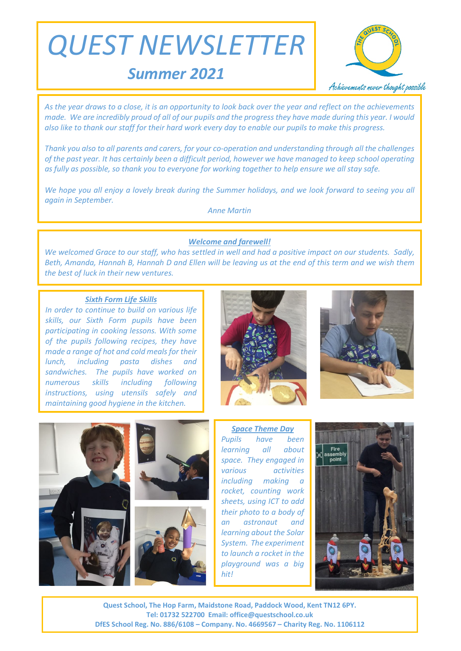*QUEST NEWSLETTER*

*Summer 2021*



*As the year draws to a close, it is an opportunity to look back over the year and reflect on the achievements made. We are incredibly proud of all of our pupils and the progress they have made during this year. I would also like to thank our staff for their hard work every day to enable our pupils to make this progress.*

*Thank you also to all parents and carers, for your co-operation and understanding through all the challenges of the past year. It has certainly been a difficult period, however we have managed to keep school operating as fully as possible, so thank you to everyone for working together to help ensure we all stay safe.*

*We hope you all enjoy a lovely break during the Summer holidays, and we look forward to seeing you all again in September.* 

*Anne Martin*

# *Welcome and farewell!*

*We welcomed Grace to our staff, who has settled in well and had a positive impact on our students. Sadly, Beth, Amanda, Hannah B, Hannah D and Ellen will be leaving us at the end of this term and we wish them the best of luck in their new ventures.* 

## *Sixth Form Life Skills*

*In order to continue to build on various life skills, our Sixth Form pupils have been participating in cooking lessons. With some of the pupils following recipes, they have made a range of hot and cold meals for their lunch, including pasta dishes and sandwiches. The pupils have worked on numerous skills including following instructions, using utensils safely and maintaining good hygiene in the kitchen.*







*Space Theme Day Pupils have been learning all about space. They engaged in various activities including making a rocket, counting work sheets, using ICT to add their photo to a body of an astronaut and learning about the Solar System. The experiment to launch a rocket in the playground was a big hit!*



**Quest School, The Hop Farm, Maidstone Road, Paddock Wood, Kent TN12 6PY. Tel: 01732 522700 Email: office@questschool.co.uk DfES School Reg. No. 886/6108 – Company. No. 4669567 – Charity Reg. No. 1106112**